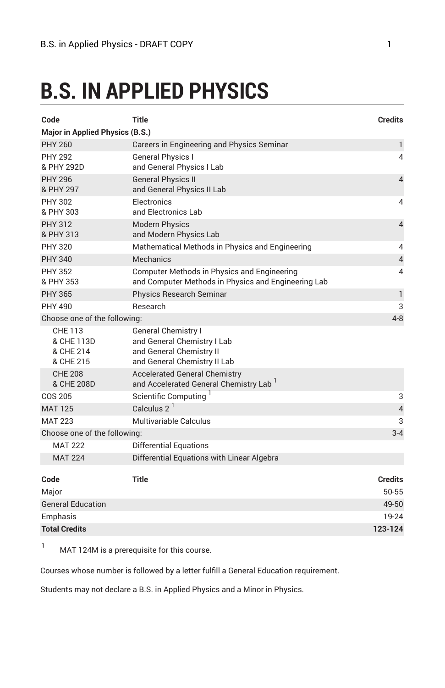# **B.S. IN APPLIED PHYSICS**

| Code                                            | Title                                                                                                                 | Credits                 |
|-------------------------------------------------|-----------------------------------------------------------------------------------------------------------------------|-------------------------|
| <b>Major in Applied Physics (B.S.)</b>          |                                                                                                                       |                         |
| <b>PHY 260</b>                                  | Careers in Engineering and Physics Seminar                                                                            | 1                       |
| <b>PHY 292</b><br>& PHY 292D                    | <b>General Physics I</b><br>and General Physics I Lab                                                                 | 4                       |
| <b>PHY 296</b><br>& PHY 297                     | <b>General Physics II</b><br>and General Physics II Lab                                                               | $\overline{4}$          |
| <b>PHY 302</b><br>& PHY 303                     | Electronics<br>and Electronics Lab                                                                                    | 4                       |
| <b>PHY 312</b><br>& PHY 313                     | <b>Modern Physics</b><br>and Modern Physics Lab                                                                       | $\overline{4}$          |
| <b>PHY 320</b>                                  | Mathematical Methods in Physics and Engineering                                                                       | 4                       |
| <b>PHY 340</b>                                  | Mechanics                                                                                                             | $\overline{4}$          |
| <b>PHY 352</b><br>& PHY 353                     | Computer Methods in Physics and Engineering<br>and Computer Methods in Physics and Engineering Lab                    | 4                       |
| <b>PHY 365</b>                                  | <b>Physics Research Seminar</b>                                                                                       | $\mathbf{1}$            |
| PHY 490                                         | <b>Research</b>                                                                                                       | 3                       |
| Choose one of the following:                    |                                                                                                                       | $4 - 8$                 |
| CHE 113<br>& CHE 113D<br>& CHE 214<br>& CHE 215 | <b>General Chemistry I</b><br>and General Chemistry I Lab<br>and General Chemistry II<br>and General Chemistry II Lab |                         |
| <b>CHE 208</b><br>& CHE 208D                    | <b>Accelerated General Chemistry</b><br>and Accelerated General Chemistry Lab <sup>1</sup>                            |                         |
| COS 205                                         | Scientific Computing                                                                                                  | 3                       |
| <b>MAT 125</b>                                  | Calculus $2^1$                                                                                                        | $\overline{4}$          |
| <b>MAT 223</b>                                  | Multivariable Calculus                                                                                                | 3                       |
| Choose one of the following:                    |                                                                                                                       | $3 - 4$                 |
| <b>MAT 222</b>                                  | <b>Differential Equations</b>                                                                                         |                         |
| <b>MAT 224</b>                                  | Differential Equations with Linear Algebra                                                                            |                         |
| Code<br>Major                                   | <b>Title</b>                                                                                                          | <b>Credits</b><br>50-55 |
| <b>General Education</b>                        |                                                                                                                       | 49-50                   |
| Emphasis                                        |                                                                                                                       | 19-24                   |
| <b>Total Credits</b>                            |                                                                                                                       | 123-124                 |

<sup>1</sup> MAT 124M is a prerequisite for this course.

Courses whose number is followed by a letter fulfill a General Education requirement.

Students may not declare a B.S. in Applied Physics and a Minor in Physics.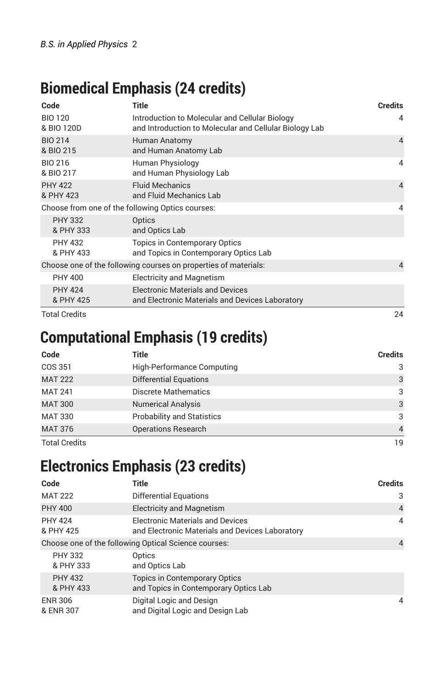### **Biomedical Emphasis (24 credits)**

| Code                                                            | <b>Title</b>                                                                                             | <b>Credits</b> |
|-----------------------------------------------------------------|----------------------------------------------------------------------------------------------------------|----------------|
| <b>BIO 120</b><br>& BIO 120D                                    | Introduction to Molecular and Cellular Biology<br>and Introduction to Molecular and Cellular Biology Lab | $\overline{4}$ |
| <b>BIO 214</b><br>& BIO 215                                     | Human Anatomy<br>and Human Anatomy Lab                                                                   | $\overline{4}$ |
| BIO 216<br>& BIO 217                                            | Human Physiology<br>and Human Physiology Lab                                                             | $\overline{4}$ |
| <b>PHY 422</b><br>& PHY 423                                     | <b>Fluid Mechanics</b><br>and Fluid Mechanics Lab                                                        | $\overline{4}$ |
| Choose from one of the following Optics courses:                |                                                                                                          | 4              |
| <b>PHY 332</b><br>& PHY 333                                     | Optics<br>and Optics Lab                                                                                 |                |
| <b>PHY 432</b><br>& PHY 433                                     | <b>Topics in Contemporary Optics</b><br>and Topics in Contemporary Optics Lab                            |                |
| Choose one of the following courses on properties of materials: |                                                                                                          | $\overline{4}$ |
| <b>PHY 400</b>                                                  | <b>Electricity and Magnetism</b>                                                                         |                |
| <b>PHY 424</b><br>& PHY 425                                     | <b>Electronic Materials and Devices</b><br>and Electronic Materials and Devices Laboratory               |                |
| <b>Total Credits</b>                                            |                                                                                                          | 24             |

### **Computational Emphasis (19 credits)**

| Code                 | Title                             | <b>Credits</b> |
|----------------------|-----------------------------------|----------------|
| COS 351              | High-Performance Computing        | 3              |
| <b>MAT 222</b>       | <b>Differential Equations</b>     | 3              |
| <b>MAT 241</b>       | <b>Discrete Mathematics</b>       | 3              |
| <b>MAT 300</b>       | <b>Numerical Analysis</b>         | 3              |
| <b>MAT 330</b>       | <b>Probability and Statistics</b> | 3              |
| <b>MAT 376</b>       | <b>Operations Research</b>        | $\overline{4}$ |
| <b>Total Credits</b> |                                   | 19             |

## **Electronics Emphasis (23 credits)**

| Code                                                 | Title                                                                                      | <b>Credits</b> |
|------------------------------------------------------|--------------------------------------------------------------------------------------------|----------------|
| <b>MAT 222</b>                                       | Differential Equations                                                                     | 3              |
| <b>PHY 400</b>                                       | <b>Electricity and Magnetism</b>                                                           | $\overline{4}$ |
| <b>PHY 424</b><br>& PHY 425                          | <b>Electronic Materials and Devices</b><br>and Electronic Materials and Devices Laboratory | $\overline{4}$ |
| Choose one of the following Optical Science courses: |                                                                                            | $\overline{4}$ |
| <b>PHY 332</b><br>& PHY 333                          | Optics<br>and Optics Lab                                                                   |                |
| <b>PHY 432</b><br>& PHY 433                          | <b>Topics in Contemporary Optics</b><br>and Topics in Contemporary Optics Lab              |                |
| <b>ENR 306</b><br>& ENR 307                          | Digital Logic and Design<br>and Digital Logic and Design Lab                               | 4              |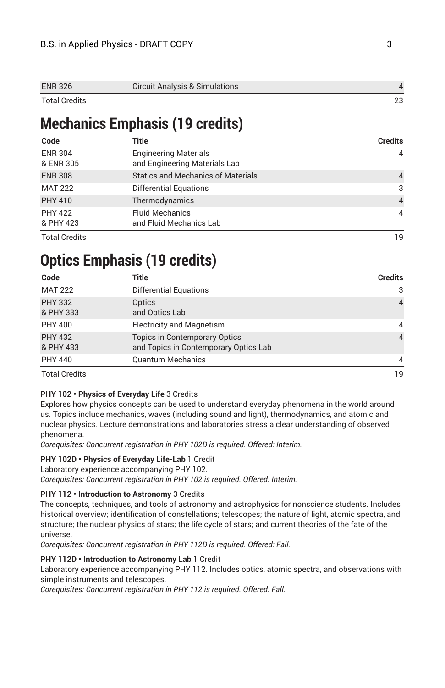| <b>ENR 326</b>       | <b>Circuit Analysis &amp; Simulations</b> |  |
|----------------------|-------------------------------------------|--|
| <b>Total Credits</b> |                                           |  |

### **Mechanics Emphasis (19 credits)**

| Code                        | Title                                                         | <b>Credits</b> |
|-----------------------------|---------------------------------------------------------------|----------------|
| <b>ENR 304</b><br>& ENR 305 | <b>Engineering Materials</b><br>and Engineering Materials Lab | $\overline{4}$ |
| <b>ENR 308</b>              | <b>Statics and Mechanics of Materials</b>                     | $\overline{4}$ |
| <b>MAT 222</b>              | Differential Equations                                        | 3              |
| <b>PHY 410</b>              | Thermodynamics                                                | $\overline{4}$ |
| <b>PHY 422</b><br>& PHY 423 | <b>Fluid Mechanics</b><br>and Fluid Mechanics Lab             | $\overline{4}$ |
| <b>Total Credits</b>        |                                                               | 19             |

### **Optics Emphasis (19 credits)**

| Code<br><b>MAT 222</b><br><b>PHY 332</b><br>& PHY 333<br><b>PHY 400</b> | Title<br>Differential Equations<br>Optics<br>and Optics Lab<br><b>Electricity and Magnetism</b> | <b>Credits</b> |
|-------------------------------------------------------------------------|-------------------------------------------------------------------------------------------------|----------------|
|                                                                         |                                                                                                 | 3              |
|                                                                         |                                                                                                 | $\overline{4}$ |
|                                                                         |                                                                                                 | 4              |
| <b>PHY 432</b><br>& PHY 433                                             | <b>Topics in Contemporary Optics</b><br>and Topics in Contemporary Optics Lab                   | $\overline{4}$ |
| <b>PHY 440</b>                                                          | <b>Quantum Mechanics</b>                                                                        | 4              |
| <b>Total Credits</b>                                                    |                                                                                                 | 19             |

### **PHY 102 • Physics of Everyday Life** 3 Credits

Explores how physics concepts can be used to understand everyday phenomena in the world around us. Topics include mechanics, waves (including sound and light), thermodynamics, and atomic and nuclear physics. Lecture demonstrations and laboratories stress a clear understanding of observed phenomena.

*Corequisites: Concurrent registration in PHY 102D is required. Offered: Interim.*

### **PHY 102D • Physics of Everyday Life-Lab** 1 Credit

Laboratory experience accompanying PHY 102.

*Corequisites: Concurrent registration in PHY 102 is required. Offered: Interim.*

#### **PHY 112 • Introduction to Astronomy** 3 Credits

The concepts, techniques, and tools of astronomy and astrophysics for nonscience students. Includes historical overview; identification of constellations; telescopes; the nature of light, atomic spectra, and structure; the nuclear physics of stars; the life cycle of stars; and current theories of the fate of the universe.

*Corequisites: Concurrent registration in PHY 112D is required. Offered: Fall.*

#### **PHY 112D • Introduction to Astronomy Lab** 1 Credit

Laboratory experience accompanying PHY 112. Includes optics, atomic spectra, and observations with simple instruments and telescopes.

*Corequisites: Concurrent registration in PHY 112 is required. Offered: Fall.*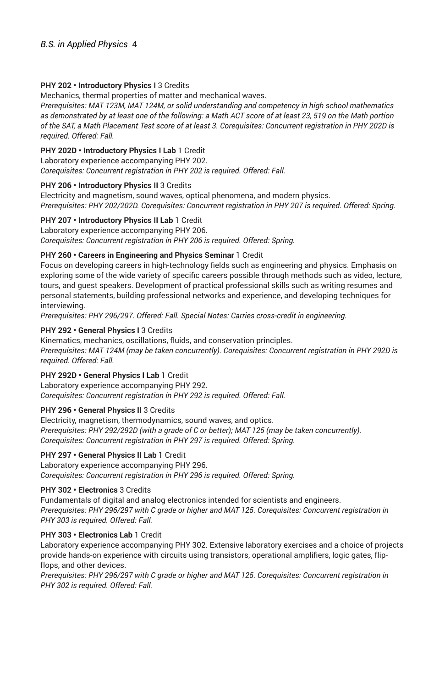#### **PHY 202 • Introductory Physics I** 3 Credits

Mechanics, thermal properties of matter and mechanical waves.

*Prerequisites: MAT 123M, MAT 124M, or solid understanding and competency in high school mathematics* as demonstrated by at least one of the following: a Math ACT score of at least 23, 519 on the Math portion of the SAT, a Math Placement Test score of at least 3. Corequisites: Concurrent registration in PHY 202D is *required. Offered: Fall.*

#### **PHY 202D • Introductory Physics I Lab** 1 Credit

Laboratory experience accompanying PHY 202.

*Corequisites: Concurrent registration in PHY 202 is required. Offered: Fall.*

#### **PHY 206 • Introductory Physics II** 3 Credits

Electricity and magnetism, sound waves, optical phenomena, and modern physics. *Prerequisites: PHY 202/202D. Corequisites: Concurrent registration in PHY 207 is required. Offered: Spring.*

#### **PHY 207 • Introductory Physics II Lab** 1 Credit

Laboratory experience accompanying PHY 206. *Corequisites: Concurrent registration in PHY 206 is required. Offered: Spring.*

#### **PHY 260 • Careers in Engineering and Physics Seminar** 1 Credit

Focus on developing careers in high-technology fields such as engineering and physics. Emphasis on exploring some of the wide variety of specific careers possible through methods such as video, lecture, tours, and guest speakers. Development of practical professional skills such as writing resumes and personal statements, building professional networks and experience, and developing techniques for interviewing.

*Prerequisites: PHY 296/297. Offered: Fall. Special Notes: Carries cross-credit in engineering.*

### **PHY 292 • General Physics I** 3 Credits

Kinematics, mechanics, oscillations, fluids, and conservation principles. *Prerequisites: MAT 124M (may be taken concurrently). Corequisites: Concurrent registration in PHY 292D is required. Offered: Fall.*

### **PHY 292D • General Physics I Lab** 1 Credit

Laboratory experience accompanying PHY 292. *Corequisites: Concurrent registration in PHY 292 is required. Offered: Fall.*

#### **PHY 296 • General Physics II** 3 Credits

Electricity, magnetism, thermodynamics, sound waves, and optics. *Prerequisites: PHY 292/292D (with a grade of C or better); MAT 125 (may be taken concurrently). Corequisites: Concurrent registration in PHY 297 is required. Offered: Spring.*

#### **PHY 297 • General Physics II Lab** 1 Credit

Laboratory experience accompanying PHY 296. *Corequisites: Concurrent registration in PHY 296 is required. Offered: Spring.*

### **PHY 302 • Electronics** 3 Credits

Fundamentals of digital and analog electronics intended for scientists and engineers. *Prerequisites: PHY 296/297 with C grade or higher and MAT 125. Corequisites: Concurrent registration in PHY 303 is required. Offered: Fall.*

#### **PHY 303 • Electronics Lab** 1 Credit

Laboratory experience accompanying PHY 302. Extensive laboratory exercises and a choice of projects provide hands-on experience with circuits using transistors, operational amplifiers, logic gates, flipflops, and other devices.

*Prerequisites: PHY 296/297 with C grade or higher and MAT 125. Corequisites: Concurrent registration in PHY 302 is required. Offered: Fall.*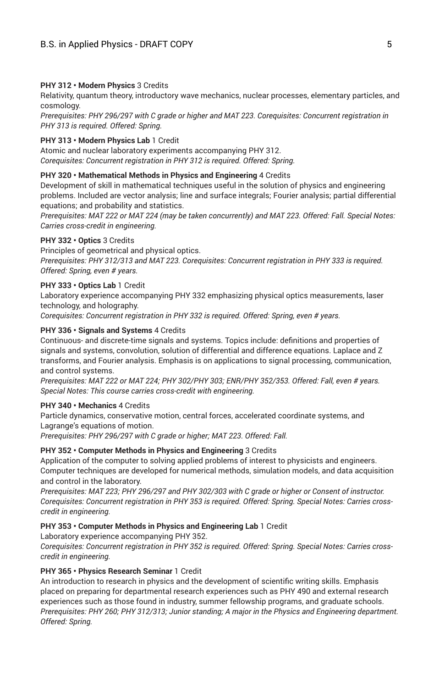#### **PHY 312 • Modern Physics** 3 Credits

Relativity, quantum theory, introductory wave mechanics, nuclear processes, elementary particles, and cosmology.

*Prerequisites: PHY 296/297 with C grade or higher and MAT 223. Corequisites: Concurrent registration in PHY 313 is required. Offered: Spring.*

#### **PHY 313 • Modern Physics Lab** 1 Credit

Atomic and nuclear laboratory experiments accompanying PHY 312. *Corequisites: Concurrent registration in PHY 312 is required. Offered: Spring.*

#### **PHY 320 • Mathematical Methods in Physics and Engineering** 4 Credits

Development of skill in mathematical techniques useful in the solution of physics and engineering problems. Included are vector analysis; line and surface integrals; Fourier analysis; partial differential equations; and probability and statistics.

*Prerequisites: MAT 222 or MAT 224 (may be taken concurrently) and MAT 223. Offered: Fall. Special Notes: Carries cross-credit in engineering.*

#### **PHY 332 • Optics** 3 Credits

Principles of geometrical and physical optics.

*Prerequisites: PHY 312/313 and MAT 223. Corequisites: Concurrent registration in PHY 333 is required. Offered: Spring, even # years.*

#### **PHY 333 • Optics Lab** 1 Credit

Laboratory experience accompanying PHY 332 emphasizing physical optics measurements, laser technology, and holography.

*Corequisites: Concurrent registration in PHY 332 is required. Offered: Spring, even # years.*

#### **PHY 336 • Signals and Systems** 4 Credits

Continuous- and discrete-time signals and systems. Topics include: definitions and properties of signals and systems, convolution, solution of differential and difference equations. Laplace and Z transforms, and Fourier analysis. Emphasis is on applications to signal processing, communication, and control systems.

*Prerequisites: MAT 222 or MAT 224; PHY 302/PHY 303; ENR/PHY 352/353. Offered: Fall, even # years. Special Notes: This course carries cross-credit with engineering.*

#### **PHY 340 • Mechanics** 4 Credits

Particle dynamics, conservative motion, central forces, accelerated coordinate systems, and Lagrange's equations of motion.

*Prerequisites: PHY 296/297 with C grade or higher; MAT 223. Offered: Fall.*

#### **PHY 352 • Computer Methods in Physics and Engineering** 3 Credits

Application of the computer to solving applied problems of interest to physicists and engineers. Computer techniques are developed for numerical methods, simulation models, and data acquisition and control in the laboratory.

*Prerequisites: MAT 223; PHY 296/297 and PHY 302/303 with C grade or higher or Consent of instructor. Corequisites: Concurrent registration in PHY 353 is required. Offered: Spring. Special Notes: Carries crosscredit in engineering.*

#### **PHY 353 • Computer Methods in Physics and Engineering Lab** 1 Credit

Laboratory experience accompanying PHY 352.

*Corequisites: Concurrent registration in PHY 352 is required. Offered: Spring. Special Notes: Carries crosscredit in engineering.*

#### **PHY 365 • Physics Research Seminar** 1 Credit

An introduction to research in physics and the development of scientific writing skills. Emphasis placed on preparing for departmental research experiences such as PHY 490 and external research experiences such as those found in industry, summer fellowship programs, and graduate schools. *Prerequisites: PHY 260; PHY 312/313; Junior standing; A major in the Physics and Engineering department. Offered: Spring.*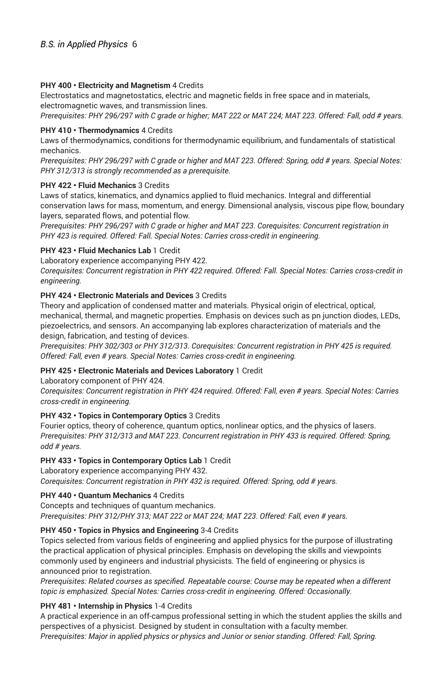#### **PHY 400 • Electricity and Magnetism** 4 Credits

Electrostatics and magnetostatics, electric and magnetic fields in free space and in materials, electromagnetic waves, and transmission lines.

Prerequisites: PHY 296/297 with C grade or higher; MAT 222 or MAT 224; MAT 223. Offered: Fall, odd # years.

#### **PHY 410 • Thermodynamics** 4 Credits

Laws of thermodynamics, conditions for thermodynamic equilibrium, and fundamentals of statistical mechanics.

Prerequisites: PHY 296/297 with C grade or higher and MAT 223. Offered: Spring, odd # years. Special Notes: *PHY 312/313 is strongly recommended as a prerequisite.*

#### **PHY 422 • Fluid Mechanics** 3 Credits

Laws of statics, kinematics, and dynamics applied to fluid mechanics. Integral and differential conservation laws for mass, momentum, and energy. Dimensional analysis, viscous pipe flow, boundary layers, separated flows, and potential flow.

*Prerequisites: PHY 296/297 with C grade or higher and MAT 223. Corequisites: Concurrent registration in PHY 423 is required. Offered: Fall. Special Notes: Carries cross-credit in engineering.*

#### **PHY 423 • Fluid Mechanics Lab** 1 Credit

Laboratory experience accompanying PHY 422.

*Corequisites: Concurrent registration in PHY 422 required. Offered: Fall. Special Notes: Carries cross-credit in engineering.*

#### **PHY 424 • Electronic Materials and Devices** 3 Credits

Theory and application of condensed matter and materials. Physical origin of electrical, optical, mechanical, thermal, and magnetic properties. Emphasis on devices such as pn junction diodes, LEDs, piezoelectrics, and sensors. An accompanying lab explores characterization of materials and the design, fabrication, and testing of devices.

*Prerequisites: PHY 302/303 or PHY 312/313. Corequisites: Concurrent registration in PHY 425 is required. Offered: Fall, even # years. Special Notes: Carries cross-credit in engineering.*

### **PHY 425 • Electronic Materials and Devices Laboratory** 1 Credit

Laboratory component of PHY 424.

*Corequisites: Concurrent registration in PHY 424 required. Offered: Fall, even # years. Special Notes: Carries cross-credit in engineering.*

#### **PHY 432 • Topics in Contemporary Optics** 3 Credits

Fourier optics, theory of coherence, quantum optics, nonlinear optics, and the physics of lasers. *Prerequisites: PHY 312/313 and MAT 223. Concurrent registration in PHY 433 is required. Offered: Spring, odd # years.*

### **PHY 433 • Topics in Contemporary Optics Lab** 1 Credit

Laboratory experience accompanying PHY 432. *Corequisites: Concurrent registration in PHY 432 is required. Offered: Spring, odd # years.*

### **PHY 440 • Quantum Mechanics** 4 Credits

Concepts and techniques of quantum mechanics.

*Prerequisites: PHY 312/PHY 313; MAT 222 or MAT 224; MAT 223. Offered: Fall, even # years.*

### **PHY 450 • Topics in Physics and Engineering** 3-4 Credits

Topics selected from various fields of engineering and applied physics for the purpose of illustrating the practical application of physical principles. Emphasis on developing the skills and viewpoints commonly used by engineers and industrial physicists. The field of engineering or physics is announced prior to registration.

*Prerequisites: Related courses as specified. Repeatable course: Course may be repeated when a different topic is emphasized. Special Notes: Carries cross-credit in engineering. Offered: Occasionally.*

### **PHY 481 • Internship in Physics** 1-4 Credits

A practical experience in an off-campus professional setting in which the student applies the skills and perspectives of a physicist. Designed by student in consultation with a faculty member. *Prerequisites: Major in applied physics or physics and Junior or senior standing. Offered: Fall, Spring.*